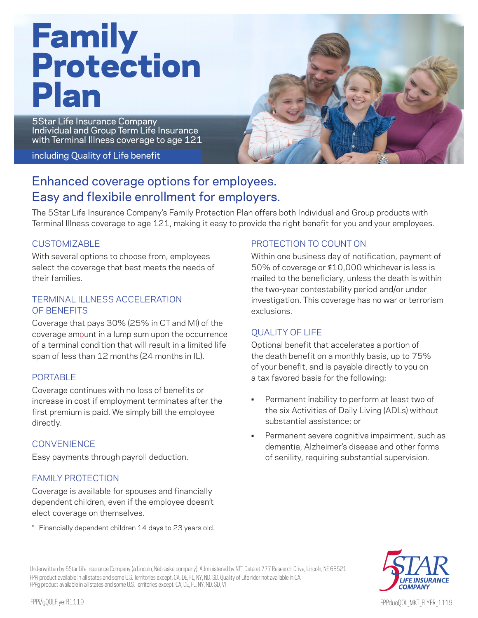# Family Protection Plan

5Star Life Insurance Company Individual and Group Term Life Insurance with Terminal Illness coverage to age 121

#### including Quality of Life benefit



# Enhanced coverage options for employees. Easy and flexibile enrollment for employers.

The 5Star Life Insurance Company's Family Protection Plan offers both Individual and Group products with Terminal Illness coverage to age 121, making it easy to provide the right benefit for you and your employees.

### **CUSTOMIZABLE**

With several options to choose from, employees select the coverage that best meets the needs of their families.

### TERMINAL ILLNESS ACCELERATION OF BENEFITS

Coverage that pays 30% (25% in CT and MI) of the coverage amount in a lump sum upon the occurrence of a terminal condition that will result in a limited life span of less than 12 months (24 months in IL).

## PORTABLE

Coverage continues with no loss of benefits or increase in cost if employment terminates after the first premium is paid. We simply bill the employee directly.

# **CONVENIENCE**

Easy payments through payroll deduction.

# FAMILY PROTECTION

Coverage is available for spouses and financially dependent children, even if the employee doesn't elect coverage on themselves.

\* Financially dependent children 14 days to 23 years old.

# PROTECTION TO COUNT ON

Within one business day of notification, payment of 50% of coverage or \$10,000 whichever is less is mailed to the beneficiary, unless the death is within the two-year contestability period and/or under investigation. This coverage has no war or terrorism exclusions.

# QUALITY OF LIFE

Optional benefit that accelerates a portion of the death benefit on a monthly basis, up to 75% of your benefit, and is payable directly to you on a tax favored basis for the following:

- Permanent inability to perform at least two of the six Activities of Daily Living (ADLs) without substantial assistance; or
- Permanent severe cognitive impairment, such as dementia, Alzheimer's disease and other forms of senility, requiring substantial supervision.



Underwritten by 5Star Life Insurance Company (a Lincoln, Nebraska company); Administered by NTT Data at 777 Research Drive, Lincoln, NE 68521 FPPi product available in all states and some U.S. Territories except: CA, DE, FL, NY, ND. SD. Quality of Life rider not available in CA. FPPg product available in all states and some U.S. Territories except: CA, DE, FL, NY, ND. SD, VI